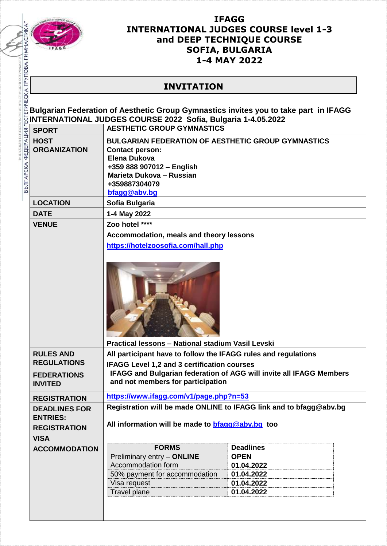

BULGARIAN FEDER

## **IFAGG INTERNATIONAL JUDGES COURSE level 1-3 and DEEP TECHNIQUE COURSE SOFIA, BULGARIA 1-4 MAY 2022**

## **INVITATION**

**Bulgarian Federation of Aesthetic Group Gymnastics invites you to take part in IFAGG INTERNATIONAL JUDGES COURSE 2022 Sofia, Bulgaria 1-4.05.2022**

| <b>SPORT</b>                                                                  | <b>AESTHETIC GROUP GYMNASTICS</b>                                                                                                                                                             |                  |  |
|-------------------------------------------------------------------------------|-----------------------------------------------------------------------------------------------------------------------------------------------------------------------------------------------|------------------|--|
| <b>HOST</b><br><b>ORGANIZATION</b>                                            | <b>BULGARIAN FEDERATION OF AESTHETIC GROUP GYMNASTICS</b><br><b>Contact person:</b><br>Elena Dukova<br>+359 888 907012 - English<br>Marieta Dukova - Russian<br>+359887304079<br>bfagg@abv.bg |                  |  |
| <b>LOCATION</b>                                                               | Sofia Bulgaria                                                                                                                                                                                |                  |  |
| <b>DATE</b>                                                                   | 1-4 May 2022                                                                                                                                                                                  |                  |  |
| <b>VENUE</b>                                                                  | Zoo hotel ****                                                                                                                                                                                |                  |  |
|                                                                               | Accommodation, meals and theory lessons                                                                                                                                                       |                  |  |
|                                                                               | https://hotelzoosofia.com/hall.php                                                                                                                                                            |                  |  |
|                                                                               |                                                                                                                                                                                               |                  |  |
|                                                                               | Practical lessons - National stadium Vasil Levski                                                                                                                                             |                  |  |
| <b>RULES AND</b><br><b>REGULATIONS</b>                                        | All participant have to follow the IFAGG rules and regulations                                                                                                                                |                  |  |
|                                                                               | <b>IFAGG Level 1.2 and 3 certification courses</b>                                                                                                                                            |                  |  |
| <b>FEDERATIONS</b><br><b>INVITED</b>                                          | <b>IFAGG and Bulgarian federation of AGG will invite all IFAGG Members</b><br>and not members for participation                                                                               |                  |  |
| <b>REGISTRATION</b>                                                           | https://www.ifagg.com/v1/page.php?n=53                                                                                                                                                        |                  |  |
| <b>DEADLINES FOR</b><br><b>ENTRIES:</b><br><b>REGISTRATION</b><br><b>VISA</b> | Registration will be made ONLINE to IFAGG link and to bfagg@abv.bg<br>All information will be made to <b>bfagg@abv.bg</b> too                                                                 |                  |  |
| <b>ACCOMMODATION</b>                                                          | <b>FORMS</b>                                                                                                                                                                                  | <b>Deadlines</b> |  |
|                                                                               | Preliminary entry - ONLINE                                                                                                                                                                    | <b>OPEN</b>      |  |
|                                                                               | Accommodation form                                                                                                                                                                            | 01.04.2022       |  |
|                                                                               | 50% payment for accommodation                                                                                                                                                                 | 01.04.2022       |  |
|                                                                               | Visa request                                                                                                                                                                                  | 01.04.2022       |  |
|                                                                               | <b>Travel plane</b>                                                                                                                                                                           | 01.04.2022       |  |
|                                                                               |                                                                                                                                                                                               |                  |  |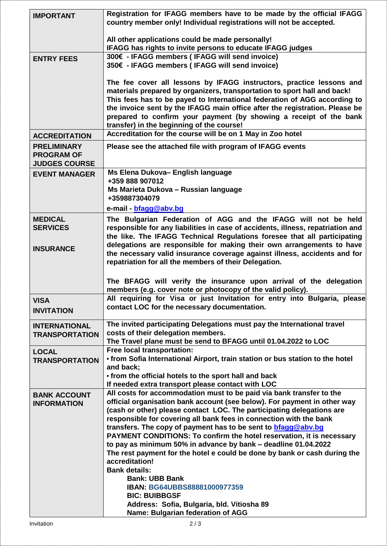| <b>IMPORTANT</b>                                                | Registration for IFAGG members have to be made by the official IFAGG<br>country member only! Individual registrations will not be accepted.                                                                                                                                                                                                                                                                                     |  |  |
|-----------------------------------------------------------------|---------------------------------------------------------------------------------------------------------------------------------------------------------------------------------------------------------------------------------------------------------------------------------------------------------------------------------------------------------------------------------------------------------------------------------|--|--|
|                                                                 | All other applications could be made personally!<br>IFAGG has rights to invite persons to educate IFAGG judges                                                                                                                                                                                                                                                                                                                  |  |  |
| <b>ENTRY FEES</b>                                               | 300€ - IFAGG members (IFAGG will send invoice)<br>350€ - IFAGG members (IFAGG will send invoice)                                                                                                                                                                                                                                                                                                                                |  |  |
|                                                                 | The fee cover all lessons by IFAGG instructors, practice lessons and<br>materials prepared by organizers, transportation to sport hall and back!<br>This fees has to be payed to International federation of AGG according to<br>the invoice sent by the IFAGG main office after the registration. Please be<br>prepared to confirm your payment (by showing a receipt of the bank<br>transfer) in the beginning of the course! |  |  |
| <b>ACCREDITATION</b>                                            | Accreditation for the course will be on 1 May in Zoo hotel                                                                                                                                                                                                                                                                                                                                                                      |  |  |
| <b>PRELIMINARY</b><br><b>PROGRAM OF</b><br><b>JUDGES COURSE</b> | Please see the attached file with program of IFAGG events                                                                                                                                                                                                                                                                                                                                                                       |  |  |
| <b>EVENT MANAGER</b>                                            | Ms Elena Dukova- English language                                                                                                                                                                                                                                                                                                                                                                                               |  |  |
|                                                                 | +359 888 907012                                                                                                                                                                                                                                                                                                                                                                                                                 |  |  |
|                                                                 | Ms Marieta Dukova - Russian language<br>+359887304079                                                                                                                                                                                                                                                                                                                                                                           |  |  |
|                                                                 | e-mail - bfagg@abv.bg                                                                                                                                                                                                                                                                                                                                                                                                           |  |  |
| <b>MEDICAL</b>                                                  | The Bulgarian Federation of AGG and the IFAGG will not be held                                                                                                                                                                                                                                                                                                                                                                  |  |  |
| <b>SERVICES</b>                                                 | responsible for any liabilities in case of accidents, illness, repatriation and                                                                                                                                                                                                                                                                                                                                                 |  |  |
|                                                                 | the like. The IFAGG Technical Regulations foresee that all participating                                                                                                                                                                                                                                                                                                                                                        |  |  |
| <b>INSURANCE</b>                                                | delegations are responsible for making their own arrangements to have<br>the necessary valid insurance coverage against illness, accidents and for<br>repatriation for all the members of their Delegation.                                                                                                                                                                                                                     |  |  |
|                                                                 |                                                                                                                                                                                                                                                                                                                                                                                                                                 |  |  |
|                                                                 | The BFAGG will verify the insurance upon arrival of the delegation<br>members (e.g. cover note or photocopy of the valid policy).                                                                                                                                                                                                                                                                                               |  |  |
| <b>VISA</b>                                                     | All requiring for Visa or just Invitation for entry into Bulgaria, please                                                                                                                                                                                                                                                                                                                                                       |  |  |
| <b>INVITATION</b>                                               | contact LOC for the necessary documentation.                                                                                                                                                                                                                                                                                                                                                                                    |  |  |
| <b>INTERNATIONAL</b>                                            | The invited participating Delegations must pay the International travel                                                                                                                                                                                                                                                                                                                                                         |  |  |
| <b>TRANSPORTATION</b>                                           | costs of their delegation members.                                                                                                                                                                                                                                                                                                                                                                                              |  |  |
|                                                                 | The Travel plane must be send to BFAGG until 01.04.2022 to LOC                                                                                                                                                                                                                                                                                                                                                                  |  |  |
| <b>LOCAL</b><br><b>TRANSPORTATION</b>                           | Free local transportation:<br>• from Sofia International Airport, train station or bus station to the hotel                                                                                                                                                                                                                                                                                                                     |  |  |
|                                                                 | and back;                                                                                                                                                                                                                                                                                                                                                                                                                       |  |  |
|                                                                 | • from the official hotels to the sport hall and back                                                                                                                                                                                                                                                                                                                                                                           |  |  |
| <b>BANK ACCOUNT</b>                                             | If needed extra transport please contact with LOC<br>All costs for accommodation must to be paid via bank transfer to the                                                                                                                                                                                                                                                                                                       |  |  |
| <b>INFORMATION</b>                                              | official organisation bank account (see below). For payment in other way                                                                                                                                                                                                                                                                                                                                                        |  |  |
|                                                                 | (cash or other) please contact LOC. The participating delegations are                                                                                                                                                                                                                                                                                                                                                           |  |  |
|                                                                 | responsible for covering all bank fees in connection with the bank<br>transfers. The copy of payment has to be sent to <b>bfagg@abv.bg</b>                                                                                                                                                                                                                                                                                      |  |  |
|                                                                 | PAYMENT CONDITIONS: To confirm the hotel reservation, it is necessary                                                                                                                                                                                                                                                                                                                                                           |  |  |
|                                                                 | to pay as minimum 50% in advance by bank - deadline 01.04.2022<br>The rest payment for the hotel e could be done by bank or cash during the                                                                                                                                                                                                                                                                                     |  |  |
|                                                                 | accreditation!                                                                                                                                                                                                                                                                                                                                                                                                                  |  |  |
|                                                                 | <b>Bank details:</b>                                                                                                                                                                                                                                                                                                                                                                                                            |  |  |
|                                                                 | <b>Bank: UBB Bank</b><br>IBAN: BG64UBBS88881000977359                                                                                                                                                                                                                                                                                                                                                                           |  |  |
|                                                                 | <b>BIC: BUIBBGSF</b>                                                                                                                                                                                                                                                                                                                                                                                                            |  |  |
|                                                                 | Address: Sofia, Bulgaria, bld. Vitiosha 89                                                                                                                                                                                                                                                                                                                                                                                      |  |  |
|                                                                 | Name: Bulgarian federation of AGG                                                                                                                                                                                                                                                                                                                                                                                               |  |  |